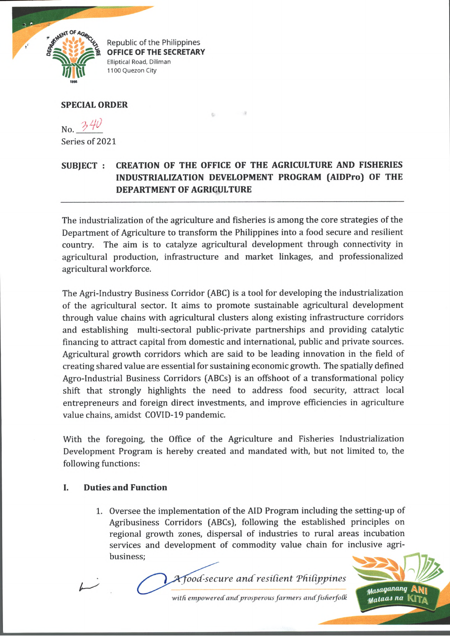

Republic of the Philippines **OFFICE OF THE SECRETARY** Elliptical Road, Diliman 1100 Quezon City

### **SPECIAL ORDER**

No.  $340$ 

Series of 2021

# **SUBJECT : CREATION OF THE OFFICE OF THE AGRICULTURE AND FISHERIES INDUSTRIALIZATION DEVELOPMENT PROGRAM (AIDPro) OF THE DEPARTMENT OF AGRICULTURE**

**Ball** 

The industrialization of the agriculture and fisheries is among the core strategies of the Department of Agriculture to transform the Philippines into a food secure and resilient country. The aim is to catalyze agricultural development through connectivity in agricultural production, infrastructure and market linkages, and professionalized agricultural workforce.

The Agri-Industry Business Corridor (ABC) is a tool for developing the industrialization of the agricultural sector. It aims to promote sustainable agricultural development through value chains with agricultural clusters along existing infrastructure corridors and establishing multi-sectoral public-private partnerships and providing catalytic financing to attract capital from domestic and international, public and private sources. Agricultural growth corridors which are said to be leading innovation in the field of creating shared value are essential for sustaining economic growth. The spatially defined Agro-Industrial Business Corridors (ABCs) is an offshoot of a transformational policy shift that strongly highlights the need to address food security, attract local entrepreneurs and foreign direct investments, and improve efficiencies in agriculture value chains, amidst COVID-19 pandemic.

With the foregoing, the Office of the Agriculture and Fisheries Industrialization Development Program is hereby created and mandated with, but not limited to, the following functions:

### **I. Duties and Function**

Oversee the implementation of the AID Program including the setting-up of Agribusiness Corridors (ABCs), following the established principles on regional growth zones, dispersal of industries to rural areas incubation services and development of commodity value chain for inclusive agribusiness;

*tfoioqananq Mataas* **na** 

with empowered and prosperous farmers and fisherfolk

 $A$ *food-secure and resilient Philippines*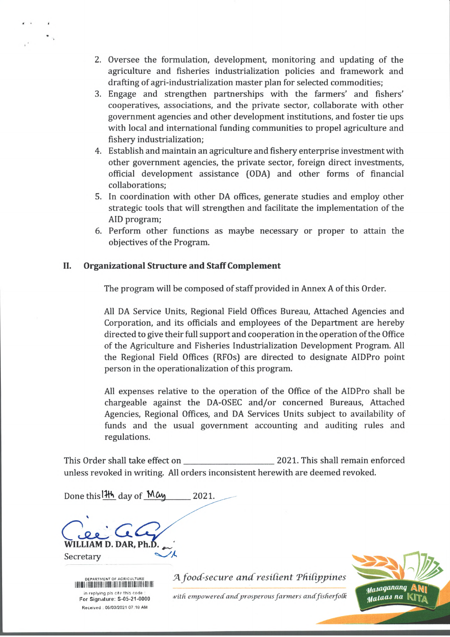- 2. Oversee the formulation, development, monitoring and updating of the agriculture and fisheries industrialization policies and framework and drafting of agri-industrialization master plan for selected commodities;
- 3. Engage and strengthen partnerships with the farmers' and fishers' cooperatives, associations, and the private sector, collaborate with other government agencies and other development institutions, and foster tie ups with local and international funding communities to propel agriculture and fishery industrialization;
- 4. Establish and maintain an agriculture and fishery enterprise investment with other government agencies, the private sector, foreign direct investments, official development assistance (ODA) and other forms of financial collaborations;
- 5. In coordination with other DA offices, generate studies and employ other strategic tools that will strengthen and facilitate the implementation of the AID program;
- 6. Perform other functions as maybe necessary or proper to attain the objectives of the Program.

## **II. Organizational Structure and Staff Complement**

The program will be composed of staff provided in Annex A of this Order.

All DA Service Units, Regional Field Offices Bureau, Attached Agencies and Corporation, and its officials and employees of the Department are hereby directed to give their full support and cooperation in the operation of the Office of the Agriculture and Fisheries Industrialization Development Program. All the Regional Field Offices (RFOs) are directed to designate AIDPro point person in the operationalization of this program.

All expenses relative to the operation of the Office of the AIDPro shall be chargeable against the DA-OSEC and/or concerned Bureaus, Attached Agencies, Regional Offices, and DA Services Units subject to availability of funds and the usual government accounting and auditing rules and regulations.

This Order shall take effect on This Shall remain enforced unless revoked in writing. All orders inconsistent herewith are deemed revoked.

Done this  $14\frac{1}{2}$  day of May 2021. **D. DAR, Ph.D.** Secretary



A food-secure and resilient Philippines

with empowered and prosperous farmers and fisherfolk